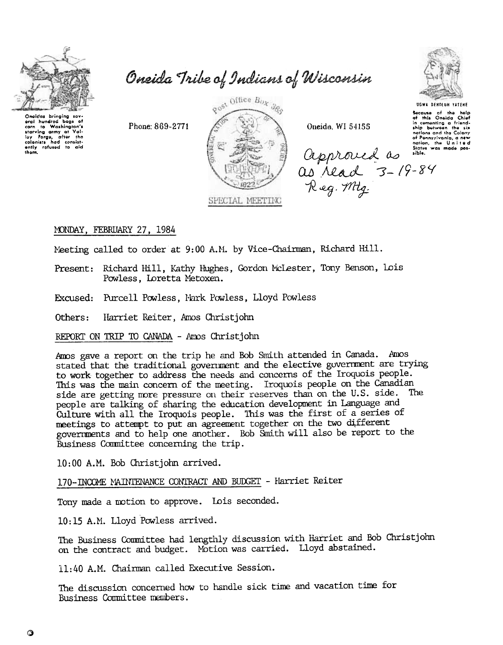

Oneida Tribe of Indians of Wisconsin



gost Office Box 360 Phone: 869-2771 SPECIAL MEETING



USWA DENOTIVERED SOCIOLE SCRIBER SOCIOLE OF the hole of the hole of the hole of the hole of the hole of the hole in comparison of the line bis hole point of Parnsylvania, a new of Parnsylvania, a new of Parnsylvania, a ne

## MONDAY, FEBRUARY 27, 1984

Meeting called to order at 9:00 A.M. by Vice-Chairman, Richard Hill.

- Present: Richard Hill, Kathy Hughes, Gordon McLester, Tony Benson, Lois Powless, Loretta Metoxen.
- Excused: Purcell Powless, Mark Powless, Lloyd Powless
- Harriet Reiter, Amos Christiohn Others:
- REPORT ON TRIP TO CANADA Amos Christjohn

Amos gave a report on the trip he and Bob Smith attended in Canada. Amos stated that the traditional government and the elective government are trying to work together to address the needs and concerns of the Iroquois people. This was the main concern of the meeting. Iroquois people on the Canadian side are getting more pressure on their reserves than on the U.S. side. The people are talking of sharing the education development in Language and Culture with all the Iroquois people. This was the first of a series of meetings to attempt to put an agreement together on the two different governments and to help one another. Bob Smith will also be report to the Business Committee concerning the trip.

10:00 A.M. Bob Christjohn arrived.

170-INCOME MAINTENANCE CONTRACT AND BUDGET - Harriet Reiter

Tony made a motion to approve. Lois seconded.

10:15 A.M. Lloyd Powless arrived.

The Business Committee had lengthly discussion with Harriet and Bob Christjohn on the contract and budget. Motion was carried. Lloyd abstained.

11:40 A.M. Chairman called Executive Session.

The discussion concerned how to handle sick time and vacation time for Business Committee members.